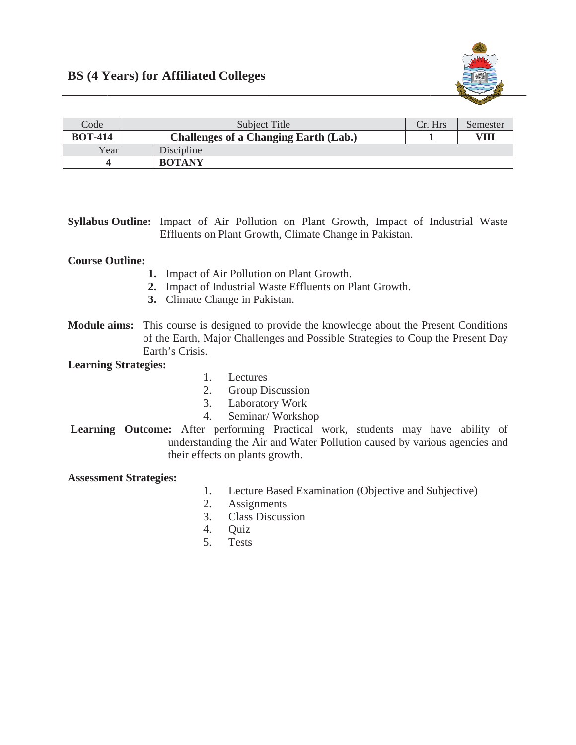

| Code           | Subject Title                                | Cr. Hrs | Semester |
|----------------|----------------------------------------------|---------|----------|
| <b>BOT-414</b> | <b>Challenges of a Changing Earth (Lab.)</b> |         | VIII     |
| Year           | Discipline                                   |         |          |
|                | <b>BOTANY</b>                                |         |          |

**Syllabus Outline:** Impact of Air Pollution on Plant Growth, Impact of Industrial Waste Effluents on Plant Growth, Climate Change in Pakistan.

## **Course Outline:**

- 1. Impact of Air Pollution on Plant Growth.
- 2. Impact of Industrial Waste Effluents on Plant Growth.
- 3. Climate Change in Pakistan.
- Module aims: This course is designed to provide the knowledge about the Present Conditions of the Earth, Major Challenges and Possible Strategies to Coup the Present Day Earth's Crisis.

## **Learning Strategies:**

- 1. Lectures
- $2<sup>1</sup>$ **Group Discussion**
- $3.$ Laboratory Work
- Seminar/Workshop  $4<sup>1</sup>$
- Learning Outcome: After performing Practical work, students may have ability of understanding the Air and Water Pollution caused by various agencies and their effects on plants growth.

## **Assessment Strategies:**

- 1. Lecture Based Examination (Objective and Subjective)
- $2.$ **Assignments**
- **Class Discussion**  $3.$
- $4.$ **Ouiz**
- 5. **Tests**